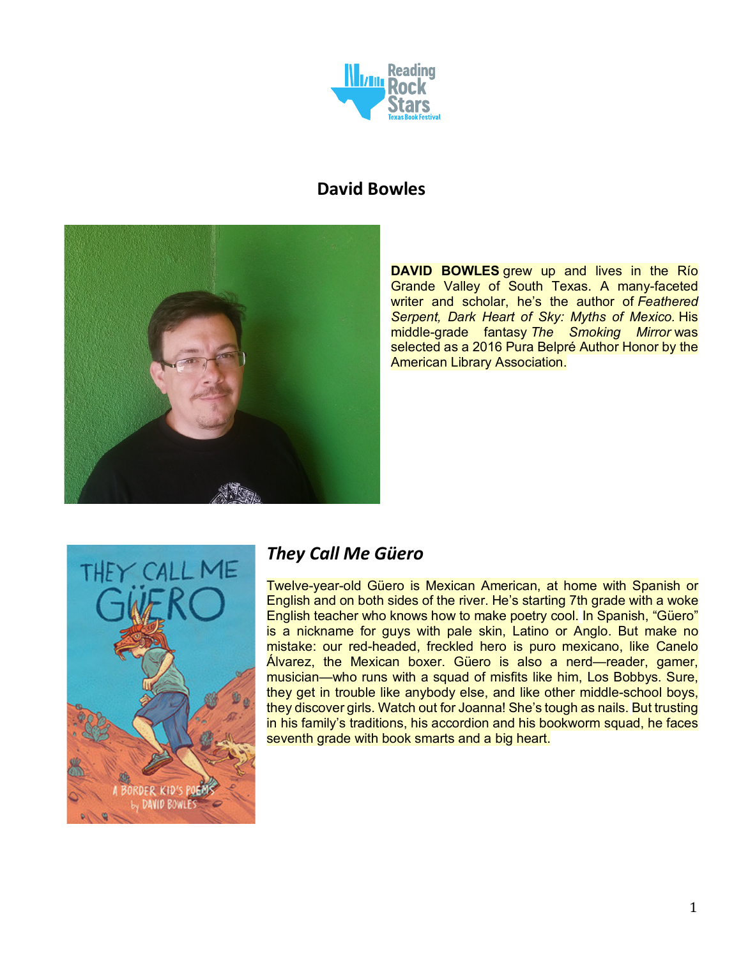

# **David Bowles**



**DAVID BOWLES** grew up and lives in the Río Grande Valley of South Texas. A many-faceted writer and scholar, he's the author of *Feathered Serpent, Dark Heart of Sky: Myths of Mexico.* His middle-grade fantasy *The Smoking Mirror* was selected as a 2016 Pura Belpré Author Honor by the American Library Association.



# *They Call Me Güero*

Twelve-year-old Güero is Mexican American, at home with Spanish or English and on both sides of the river. He's starting 7th grade with a woke English teacher who knows how to make poetry cool. In Spanish, "Güero" is a nickname for guys with pale skin, Latino or Anglo. But make no mistake: our red-headed, freckled hero is puro mexicano, like Canelo Álvarez, the Mexican boxer. Güero is also a nerd—reader, gamer, musician—who runs with a squad of misfits like him, Los Bobbys. Sure, they get in trouble like anybody else, and like other middle-school boys, they discover girls. Watch out for Joanna! She's tough as nails. But trusting in his family's traditions, his accordion and his bookworm squad, he faces seventh grade with book smarts and a big heart.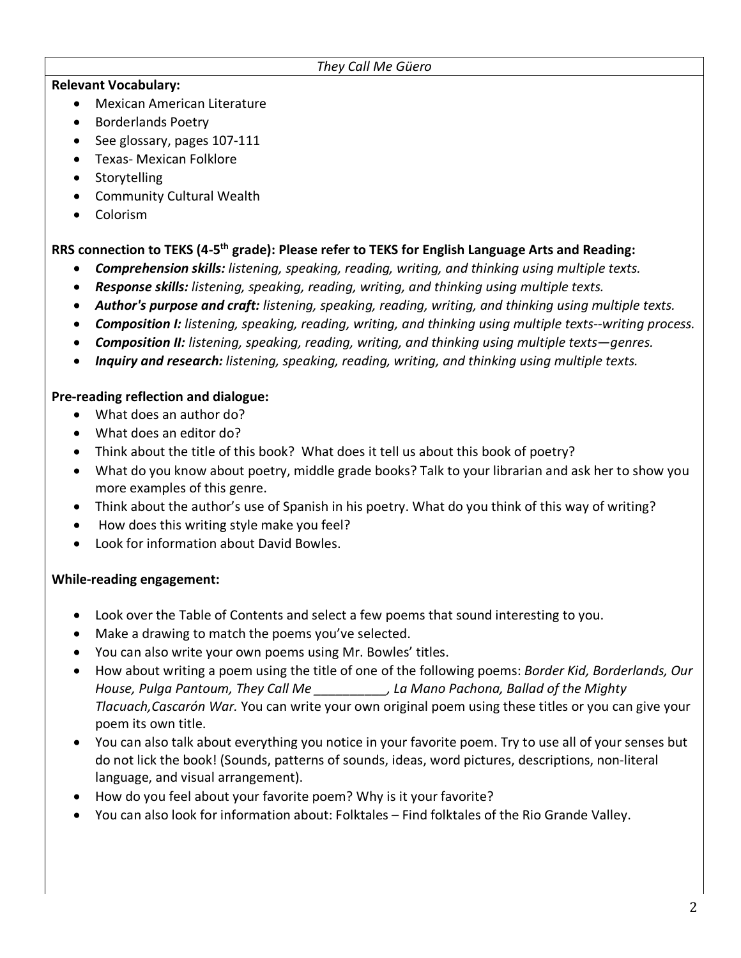#### *They Call Me Güero*

### **Relevant Vocabulary:**

- Mexican American Literature
- Borderlands Poetry
- See glossary, pages 107-111
- Texas- Mexican Folklore
- Storytelling
- Community Cultural Wealth
- Colorism

## **RRS connection to TEKS (4-5th grade): Please refer to TEKS for English Language Arts and Reading:**

- *Comprehension skills: listening, speaking, reading, writing, and thinking using multiple texts.*
- *Response skills: listening, speaking, reading, writing, and thinking using multiple texts.*
- *Author's purpose and craft: listening, speaking, reading, writing, and thinking using multiple texts.*
- *Composition I: listening, speaking, reading, writing, and thinking using multiple texts--writing process.*
- *Composition II: listening, speaking, reading, writing, and thinking using multiple texts—genres.*
- *Inquiry and research: listening, speaking, reading, writing, and thinking using multiple texts.*

## **Pre-reading reflection and dialogue:**

- What does an author do?
- What does an editor do?
- Think about the title of this book? What does it tell us about this book of poetry?
- What do you know about poetry, middle grade books? Talk to your librarian and ask her to show you more examples of this genre.
- Think about the author's use of Spanish in his poetry. What do you think of this way of writing?
- How does this writing style make you feel?
- Look for information about David Bowles.

### **While-reading engagement:**

- Look over the Table of Contents and select a few poems that sound interesting to you.
- Make a drawing to match the poems you've selected.
- You can also write your own poems using Mr. Bowles' titles.
- How about writing a poem using the title of one of the following poems: *Border Kid, Borderlands, Our House, Pulga Pantoum, They Call Me \_\_\_\_\_\_\_\_\_\_, La Mano Pachona, Ballad of the Mighty Tlacuach,Cascarón War.* You can write your own original poem using these titles or you can give your poem its own title.
- You can also talk about everything you notice in your favorite poem. Try to use all of your senses but do not lick the book! (Sounds, patterns of sounds, ideas, word pictures, descriptions, non-literal language, and visual arrangement).
- How do you feel about your favorite poem? Why is it your favorite?
- You can also look for information about: Folktales Find folktales of the Rio Grande Valley.